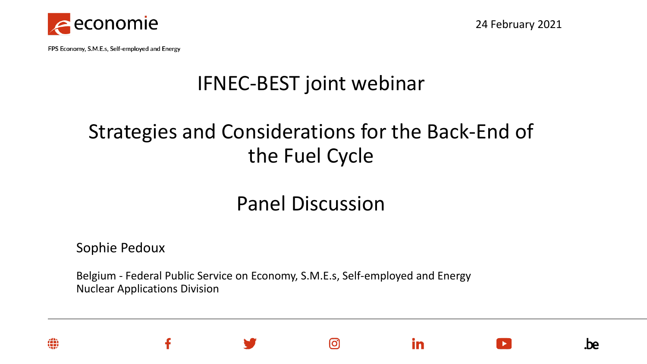

24 February 2021

.be

FPS Economy, S.M.E.s, Self-employed and Energy

## IFNEC-BEST joint webinar

## Strategies and Considerations for the Back-End of the Fuel Cycle

#### Panel Discussion

ര

in

Sophie Pedoux

Belgium - Federal Public Service on Economy, S.M.E.s, Self-employed and Energy Nuclear Applications Division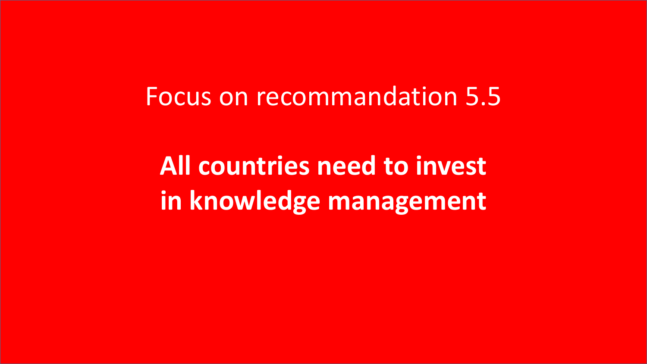Focus on recommandation 5.5

**All countries need to invest in knowledge management**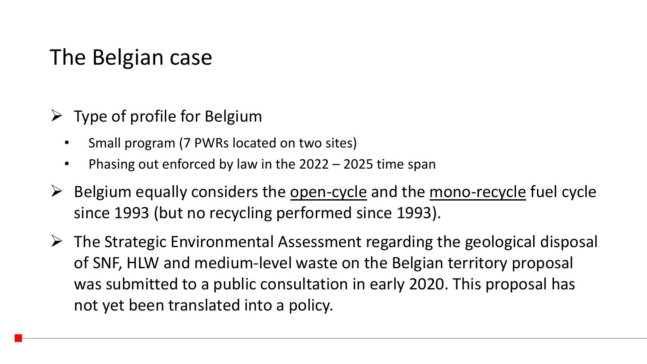# The Belgian case

- $\triangleright$  Type of profile for Belgium
	- Small program (7 PWRs located on two sites)
	- Phasing out enforced by law in the 2022 2025 time span
- $\triangleright$  Belgium equally considers the open-cycle and the mono-recycle fuel cycle since 1993 (but no recycling performed since 1993).
- $\triangleright$  The Strategic Environmental Assessment regarding the geological disposal of SNF, HLW and medium-level waste on the Belgian territory proposal was submitted to a public consultation in early 2020. This proposal has not yet been translated into a policy.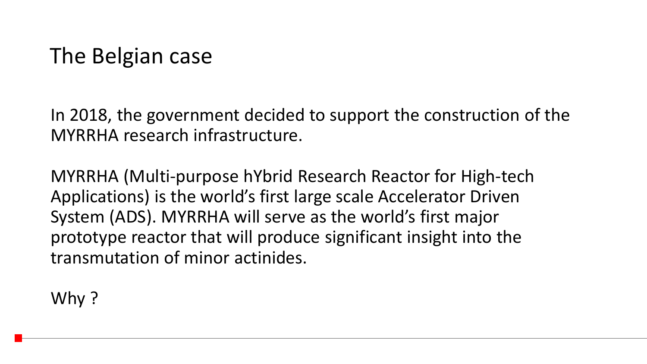# The Belgian case

In 2018, the government decided to support the construction of the MYRRHA research infrastructure.

MYRRHA (Multi-purpose hYbrid Research Reactor for High-tech Applications) is the world's first large scale Accelerator Driven System (ADS). MYRRHA will serve as the world's first major prototype reactor that will produce significant insight into the transmutation of minor actinides.

Why?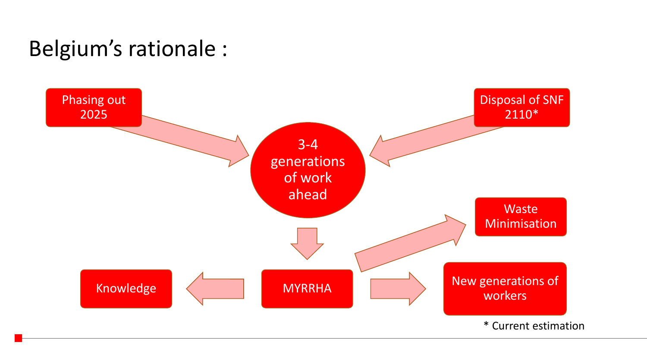# Belgium's rationale :

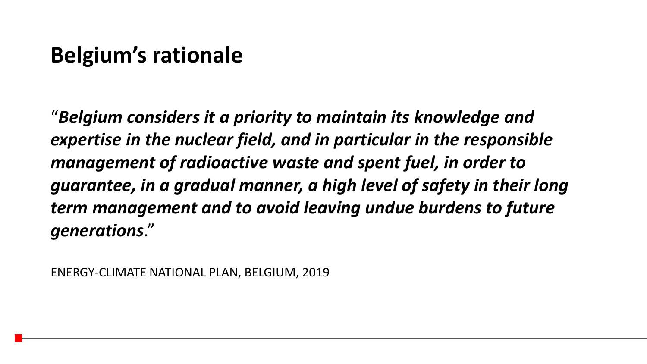### **Belgium's rationale**

"*Belgium considers it a priority to maintain its knowledge and expertise in the nuclear field, and in particular in the responsible management of radioactive waste and spent fuel, in order to guarantee, in a gradual manner, a high level of safety in their long term management and to avoid leaving undue burdens to future generations*."

ENERGY-CLIMATE NATIONAL PLAN, BELGIUM, 2019